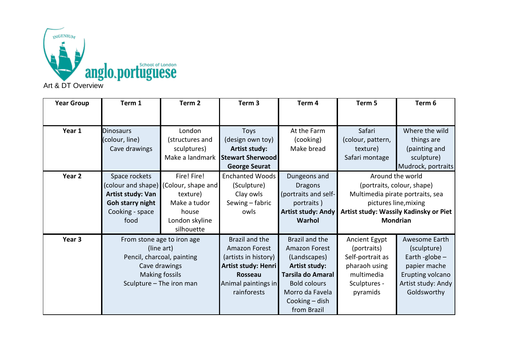

| <b>Year Group</b> | Term 1                     | Term 2                                | Term <sub>3</sub>       | Term 4                    | Term 5                           | Term 6                                 |
|-------------------|----------------------------|---------------------------------------|-------------------------|---------------------------|----------------------------------|----------------------------------------|
|                   |                            |                                       |                         |                           |                                  |                                        |
| Year 1            | <b>Dinosaurs</b>           | London                                | Toys                    | At the Farm               | Safari                           | Where the wild                         |
|                   | (colour, line)             | (structures and                       | (design own toy)        | (cooking)                 | (colour, pattern,                | things are                             |
|                   | Cave drawings              | sculptures)                           | <b>Artist study:</b>    | Make bread                | texture)                         | (painting and                          |
|                   |                            | Make a landmark                       | <b>Stewart Sherwood</b> |                           | Safari montage                   | sculpture)                             |
|                   |                            |                                       | <b>George Seurat</b>    |                           |                                  | Mudrock, portraits                     |
| Year 2            | Space rockets              | Fire! Fire!                           | <b>Enchanted Woods</b>  | Dungeons and              | Around the world                 |                                        |
|                   |                            | (colour and shape) (Colour, shape and | (Sculpture)             | <b>Dragons</b>            | (portraits, colour, shape)       |                                        |
|                   | Artist study: Van          | texture)                              | Clay owls               | (portraits and self-      | Multimedia pirate portraits, sea |                                        |
|                   | Goh starry night           | Make a tudor                          | Sewing - fabric         | portraits)                | pictures line, mixing            |                                        |
|                   | Cooking - space            | house                                 | owls                    | <b>Artist study: Andy</b> |                                  | Artist study: Wassily Kadinsky or Piet |
|                   | food                       | London skyline                        |                         | Warhol                    | <b>Mondrian</b>                  |                                        |
|                   |                            | silhouette                            |                         |                           |                                  |                                        |
| Year 3            | From stone age to iron age |                                       | Brazil and the          | Brazil and the            | Ancient Egypt                    | Awesome Earth                          |
|                   | (line art)                 |                                       | Amazon Forest           | <b>Amazon Forest</b>      | (portraits)                      | (sculpture)                            |
|                   | Pencil, charcoal, painting |                                       | (artists in history)    | (Landscapes)              | Self-portrait as                 | Earth -globe $-$                       |
|                   | Cave drawings              |                                       | Artist study: Henri     | Artist study:             | pharaoh using                    | papier mache                           |
|                   | <b>Making fossils</b>      |                                       | Rosseau                 | Tarsila do Amaral         | multimedia                       | Erupting volcano                       |
|                   | Sculpture - The iron man   |                                       | Animal paintings in     | <b>Bold colours</b>       | Sculptures -                     | Artist study: Andy                     |
|                   |                            |                                       | rainforests             | Morro da Favela           | pyramids                         | Goldsworthy                            |
|                   |                            |                                       |                         | Cooking - dish            |                                  |                                        |
|                   |                            |                                       |                         | from Brazil               |                                  |                                        |